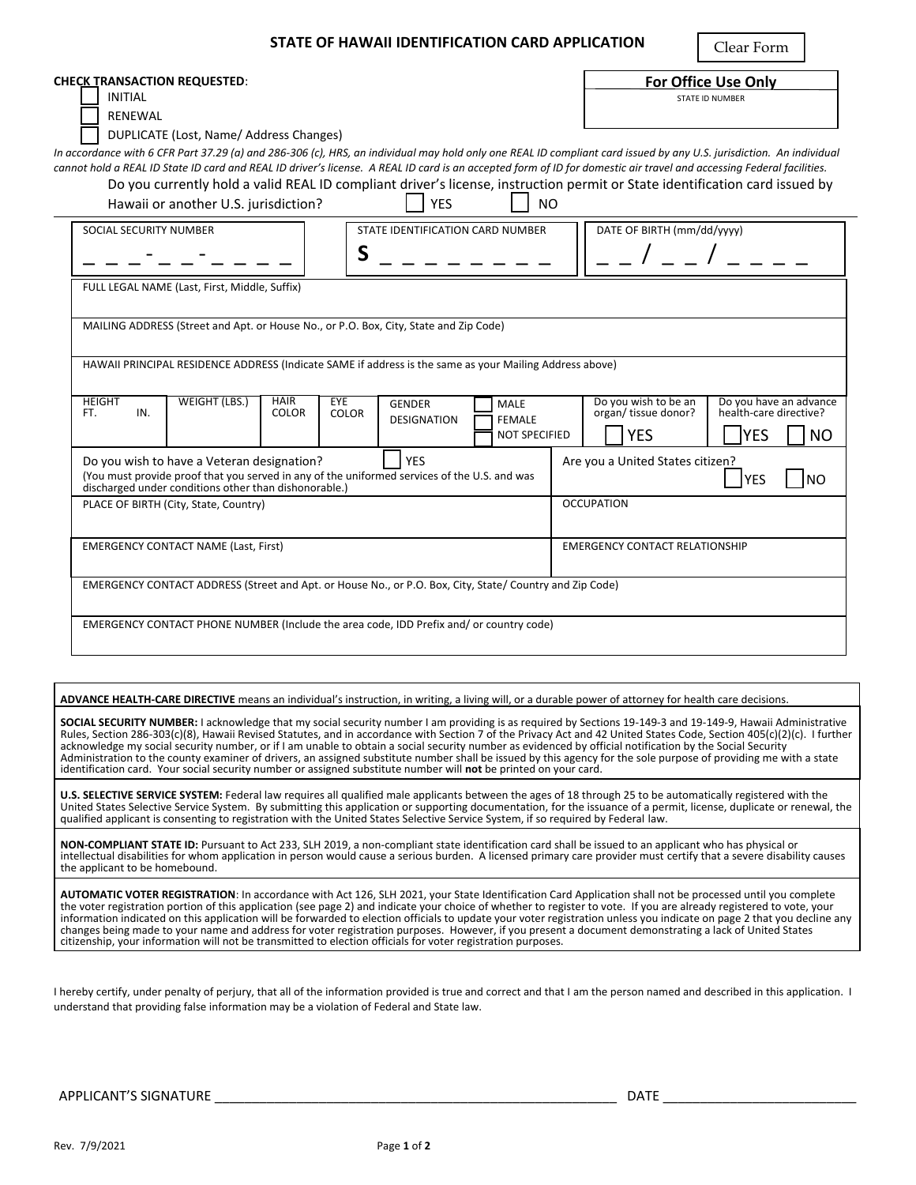| STATE OF HAWAII IDENTIFICATION CARD APPLICATION |
|-------------------------------------------------|
|-------------------------------------------------|

Clear Form

| <b>CHECK TRANSACTION REQUESTED:</b>                                                                                                                                                                 |                                                                                                                    | <b>For Office Use Only</b>                                                                                                                                          |  |  |
|-----------------------------------------------------------------------------------------------------------------------------------------------------------------------------------------------------|--------------------------------------------------------------------------------------------------------------------|---------------------------------------------------------------------------------------------------------------------------------------------------------------------|--|--|
| <b>INITIAL</b>                                                                                                                                                                                      |                                                                                                                    | STATE ID NUMBER                                                                                                                                                     |  |  |
| <b>RENEWAL</b>                                                                                                                                                                                      |                                                                                                                    |                                                                                                                                                                     |  |  |
| DUPLICATE (Lost, Name/ Address Changes)                                                                                                                                                             |                                                                                                                    |                                                                                                                                                                     |  |  |
| cannot hold a REAL ID State ID card and REAL ID driver's license. A REAL ID card is an accepted form of ID for domestic air travel and accessing Federal facilities.                                |                                                                                                                    | In accordance with 6 CFR Part 37.29 (a) and 286-306 (c), HRS, an individual may hold only one REAL ID compliant card issued by any U.S. jurisdiction. An individual |  |  |
| Hawaii or another U.S. jurisdiction?                                                                                                                                                                | <b>YES</b><br>N <sub>O</sub>                                                                                       | Do you currently hold a valid REAL ID compliant driver's license, instruction permit or State identification card issued by                                         |  |  |
| SOCIAL SECURITY NUMBER                                                                                                                                                                              | STATE IDENTIFICATION CARD NUMBER                                                                                   | DATE OF BIRTH (mm/dd/yyyy)                                                                                                                                          |  |  |
| S                                                                                                                                                                                                   |                                                                                                                    |                                                                                                                                                                     |  |  |
| FULL LEGAL NAME (Last, First, Middle, Suffix)                                                                                                                                                       |                                                                                                                    |                                                                                                                                                                     |  |  |
| MAILING ADDRESS (Street and Apt. or House No., or P.O. Box, City, State and Zip Code)<br>HAWAII PRINCIPAL RESIDENCE ADDRESS (Indicate SAME if address is the same as your Mailing Address above)    |                                                                                                                    |                                                                                                                                                                     |  |  |
| <b>HEIGHT</b><br><b>WEIGHT (LBS.)</b><br><b>HAIR</b><br>FT.<br>IN.<br><b>COLOR</b>                                                                                                                  | EYE<br><b>GENDER</b><br><b>MALE</b><br><b>COLOR</b><br><b>DESIGNATION</b><br><b>FEMALE</b><br><b>NOT SPECIFIED</b> | Do you wish to be an<br>Do you have an advance<br>organ/ tissue donor?<br>health-care directive?<br><b>YES</b><br><b>YES</b><br><b>NO</b>                           |  |  |
| Do you wish to have a Veteran designation?<br>(You must provide proof that you served in any of the uniformed services of the U.S. and was<br>discharged under conditions other than dishonorable.) | <b>YES</b>                                                                                                         | Are you a United States citizen?<br><b>YES</b><br><b>INO</b>                                                                                                        |  |  |
| PLACE OF BIRTH (City, State, Country)                                                                                                                                                               |                                                                                                                    | <b>OCCUPATION</b>                                                                                                                                                   |  |  |
| <b>EMERGENCY CONTACT NAME (Last, First)</b>                                                                                                                                                         | <b>EMERGENCY CONTACT RELATIONSHIP</b>                                                                              |                                                                                                                                                                     |  |  |
| EMERGENCY CONTACT ADDRESS (Street and Apt. or House No., or P.O. Box, City, State/ Country and Zip Code)                                                                                            |                                                                                                                    |                                                                                                                                                                     |  |  |
| EMERGENCY CONTACT PHONE NUMBER (Include the area code, IDD Prefix and/ or country code)                                                                                                             |                                                                                                                    |                                                                                                                                                                     |  |  |

**ADVANCE HEALTH-CARE DIRECTIVE** means an individual's instruction, in writing, a living will, or a durable power of attorney for health care decisions.

**SOCIAL SECURITY NUMBER:** I acknowledge that my social security number I am providing is as required by Sections 19-149-3 and 19-149-9, Hawaii Administrative<br>Rules, Section 286-303(c)(8), Hawaii Revised Statutes, and in ac acknowledge my social security number, or if I am unable to obtain a social security number as evidenced by official notification by the Social Security Administration to the county examiner of drivers, an assigned substitute number shall be issued by this agency for the sole purpose of providing me with a state identification card. Your social security number or assigned substitute number will **not** be printed on your card.

**U.S. SELECTIVE SERVICE SYSTEM:** Federal law requires all qualified male applicants between the ages of 18 through 25 to be automatically registered with the United States Selective Service System. By submitting this application or supporting documentation, for the issuance of a permit, license, duplicate or renewal, the<br>qualified applicant is consenting to registration with th

**NON-COMPLIANT STATE ID:** Pursuant to Act 233, SLH 2019, a non-compliant state identification card shall be issued to an applicant who has physical or intellectual disabilities for whom application in person would cause a serious burden. A licensed primary care provider must certify that a severe disability causes the applicant to be homebound.

**AUTOMATIC VOTER REGISTRATION**: In accordance with Act 126, SLH 2021, your State Identification Card Application shall not be processed until you complete the voter registration portion of this application (see page 2) and indicate your choice of whether to register to vote. If you are already registered to vote, your information indicated on this application will be forwarded to election officials to update your voter registration unless you indicate on page 2 that you decline any changes being made to your name and address for voter registration purposes. However, if you present a document demonstrating a lack of United States citizenship, your information will not be transmitted to election officials for voter registration purposes.

I hereby certify, under penalty of perjury, that all of the information provided is true and correct and that I am the person named and described in this application. I understand that providing false information may be a violation of Federal and State law.

APPLICANT'S SIGNATURE \_\_\_\_\_\_\_\_\_\_\_\_\_\_\_\_\_\_\_\_\_\_\_\_\_\_\_\_\_\_\_\_\_\_\_\_\_\_\_\_\_\_\_\_\_\_\_\_\_\_\_\_\_\_ DATE \_\_\_\_\_\_\_\_\_\_\_\_\_\_\_\_\_\_\_\_\_\_\_\_\_\_